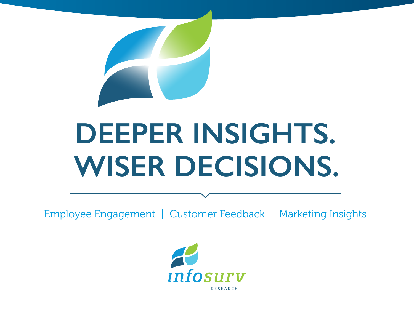

# **DEEPER INSIGHTS. WISER DECISIONS.**

Employee Engagement | Customer Feedback | Marketing Insights

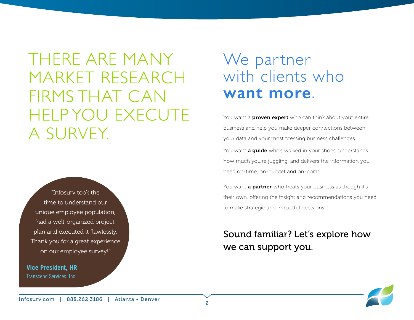THERE ARE MANY MARKET RESEARCH FIRMS THAT CAN HELP YOU EXECUTE A SURVEY.

"Infosurv took the time to understand our unique employee population, had a well-organized project plan and executed it flawlessly. Thank you for a great experience on our employee survey!"

**Vice President, HR** Transcend Services, Inc.

## We partner with clients who **want more**.

You want a **proven expert** who can think about your entire business and help you make deeper connections between your data and your most pressing business challenges. You want **a guide** who's walked in your shoes, understands how much you're juggling, and delivers the information you need on-time, on-budget and on-point.

You want **a partner** who treats your business as though it's their own, offering the insight and recommendations you need to make strategic and impactful decisions.

#### Sound familiar? Let's explore how we can support you.

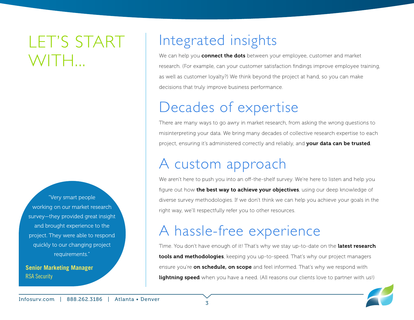# LET'S START WITH...

"Very smart people working on our market research survey—they provided great insight and brought experience to the project. They were able to respond quickly to our changing project requirements."

**Senior Marketing Manager** RSA Security

## Integrated insights

We can help you **connect the dots** between your employee, customer and market research. (For example, can your customer satisfaction findings improve employee training, as well as customer loyalty?) We think beyond the project at hand, so you can make decisions that truly improve business performance.

## Decades of expertise

There are many ways to go awry in market research, from asking the wrong questions to misinterpreting your data. We bring many decades of collective research expertise to each project, ensuring it's administered correctly and reliably, and your data can be trusted.

### A custom approach

We aren't here to push you into an off-the-shelf survey. We're here to listen and help you figure out how **the best way to achieve your objectives**, using our deep knowledge of diverse survey methodologies. If we don't think we can help you achieve your goals in the right way, we'll respectfully refer you to other resources.

### A hassle-free experience

Time. You don't have enough of it! That's why we stay up-to-date on the latest research tools and methodologies, keeping you up-to-speed. That's why our project managers ensure you're **on schedule, on scope** and feel informed. That's why we respond with **lightning speed** when you have a need. (All reasons our clients love to partner with us!)

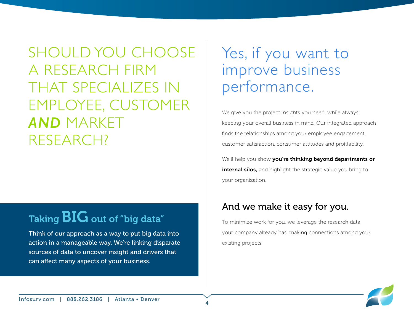SHOULD YOU CHOOSE A RESEARCH FIRM THAT SPECIALIZES IN EMPLOYEE, CUSTOMER *AND* MARKET RESEARCH?

### Taking BIG out of "big data"

Think of our approach as a way to put big data into action in a manageable way. We're linking disparate sources of data to uncover insight and drivers that can affect many aspects of your business.

### Yes, if you want to improve business performance.

We give you the project insights you need, while always keeping your overall business in mind. Our integrated approach finds the relationships among your employee engagement, customer satisfaction, consumer attitudes and profitability.

We'll help you show you're thinking beyond departments or internal silos, and highlight the strategic value you bring to your organization.

#### And we make it easy for you.

To minimize work for you, we leverage the research data your company already has, making connections among your existing projects.

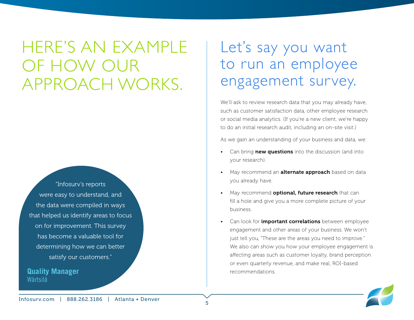HERE'S AN EXAMPLE OF HOW OUR APPROACH WORKS.

"Infosurv's reports were easy to understand, and the data were compiled in ways that helped us identify areas to focus on for improvement. This survey has become a valuable tool for determining how we can better satisfy our customers."

**Quality Manager** Wärtsilä

## Let's say you want to run an employee engagement survey.

We'll ask to review research data that you may already have, such as customer satisfaction data, other employee research or social media analytics. (If you're a new client, we're happy to do an initial research audit, including an on-site visit.)

As we gain an understanding of your business and data, we:

- Can bring **new questions** into the discussion (and into your research).
- May recommend an **alternate approach** based on data you already have.
- May recommend **optional, future research** that can fill a hole and give you a more complete picture of your business.
- Can look for *important correlations* between employee engagement and other areas of your business. We won't just tell you, "These are the areas you need to improve." We also can show you how your employee engagement is affecting areas such as customer loyalty, brand perception or even quarterly revenue, and make real, ROI-based recommendations.

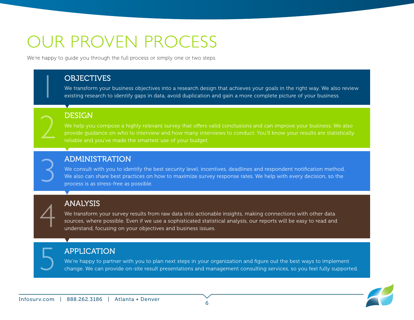# OUR PROVEN PROCESS

We're happy to guide you through the full process or simply one or two steps.

#### **OBJECTIVES**

We transform your business objectives into a research design that achieves your goals in the right way. We also review<br>existing research to identify gaps in data, avoid duplication and gain a more complete picture of your

#### **DESIGN**

We help you compose a highly relevant survey that offers valid conclusions and can improve your business. We also provide guidance on who to interview and how many interviews to conduct. You'll know your results are statistically 2 reliable and you've made the smartest use of your budget.

#### ADMINISTRATION

We consult with you to identify the best security level, incentives, deadlines and respondent notification method. **ADMINISTRATION**<br>We consult with you to identify the best security level, incentives, deadlines and respondent notification method.<br>We also can share best practices on how to maximize survey response rates. We help with ev

#### ANALYSIS

We transform your survey results from raw data into actionable insights, making connections with other data sources, where possible. Even if we use a sophisticated statistical analysis, our reports will be easy to read and<br>understand, focusing on your objectives and business issues.

#### APPLICATION

We're happy to partner with you to plan next steps in your organization and figure out the best ways to implement<br>change. We can provide on-site result presentations and management consulting services, so you feel fully su

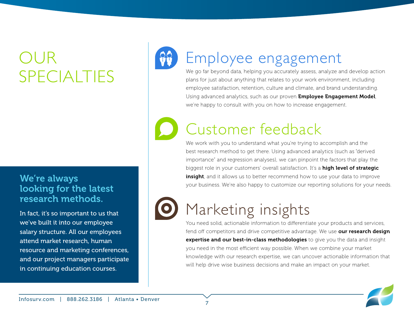# DI JR SPECIALTIES

#### We're always looking for the latest research methods.

In fact, it's so important to us that we've built it into our employee salary structure. All our employees attend market research, human resource and marketing conferences, and our project managers participate in continuing education courses.



# Employee engagement

We go far beyond data, helping you accurately assess, analyze and develop action plans for just about anything that relates to your work environment, including employee satisfaction, retention, culture and climate, and brand understanding. Using advanced analytics, such as our proven **Employee Engagement Model**, we're happy to consult with you on how to increase engagement.

# Customer feedback

We work with you to understand what you're trying to accomplish and the best research method to get there. Using advanced analytics (such as "derived importance" and regression analyses), we can pinpoint the factors that play the biggest role in your customers' overall satisfaction. It's a high level of strategic **insight**, and it allows us to better recommend how to use your data to improve your business. We're also happy to customize our reporting solutions for your needs.



# Marketing insights

You need solid, actionable information to differentiate your products and services, fend off competitors and drive competitive advantage. We use our research design **expertise and our best-in-class methodologies** to give you the data and insight you need in the most efficient way possible. When we combine your market knowledge with our research expertise, we can uncover actionable information that will help drive wise business decisions and make an impact on your market.

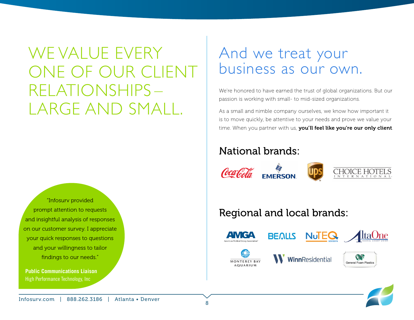# WE VALUE EVERY ONE OF OUR CLIENT RELATIONSHIPS – LARGE AND SMALL.

"Infosurv provided prompt attention to requests and insightful analysis of responses on our customer survey. I appreciate your quick responses to questions and your willingness to tailor findings to our needs."

**Public Communications Liaison** High Performance Technology, Inc

### And we treat your business as our own.

We're honored to have earned the trust of global organizations. But our passion is working with small- to mid-sized organizations.

As a small and nimble company ourselves, we know how important it is to move quickly, be attentive to your needs and prove we value your time. When you partner with us, you'll feel like you're our only client.

#### National brands:



#### Regional and local brands:













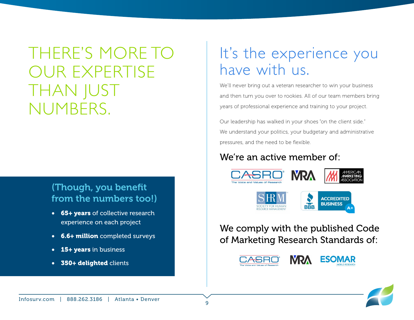THERE'S MORE TO OUR EXPERTISE THAN JUST NUMBERS.

#### (Though, you benefit from the numbers too!)

- 65+ years of collective research experience on each project
- **6.6+ million** completed surveys
- **15+ years** in business
- 350+ delighted clients

# It's the experience you have with us.

We'll never bring out a veteran researcher to win your business and then turn you over to rookies. All of our team members bring years of professional experience and training to your project.

Our leadership has walked in your shoes "on the client side." We understand your politics, your budgetary and administrative pressures, and the need to be flexible.

#### We're an active member of:





We comply with the published Code of Marketing Research Standards of: